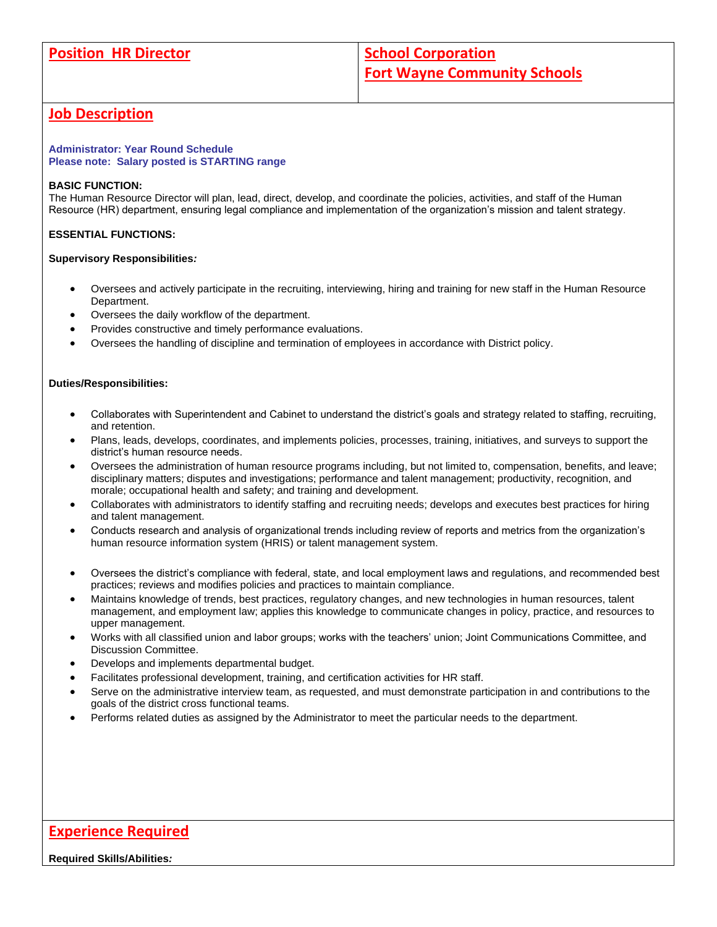# **Job Description**

#### **Administrator: Year Round Schedule Please note: Salary posted is STARTING range**

### **BASIC FUNCTION:**

The Human Resource Director will plan, lead, direct, develop, and coordinate the policies, activities, and staff of the Human Resource (HR) department, ensuring legal compliance and implementation of the organization's mission and talent strategy.

### **ESSENTIAL FUNCTIONS:**

#### **Supervisory Responsibilities***:*

- Oversees and actively participate in the recruiting, interviewing, hiring and training for new staff in the Human Resource Department.
- Oversees the daily workflow of the department.
- Provides constructive and timely performance evaluations.
- Oversees the handling of discipline and termination of employees in accordance with District policy.

### **Duties/Responsibilities:**

- Collaborates with Superintendent and Cabinet to understand the district's goals and strategy related to staffing, recruiting, and retention.
- Plans, leads, develops, coordinates, and implements policies, processes, training, initiatives, and surveys to support the district's human resource needs.
- Oversees the administration of human resource programs including, but not limited to, compensation, benefits, and leave; disciplinary matters; disputes and investigations; performance and talent management; productivity, recognition, and morale; occupational health and safety; and training and development.
- Collaborates with administrators to identify staffing and recruiting needs; develops and executes best practices for hiring and talent management.
- Conducts research and analysis of organizational trends including review of reports and metrics from the organization's human resource information system (HRIS) or talent management system.
- Oversees the district's compliance with federal, state, and local employment laws and regulations, and recommended best practices; reviews and modifies policies and practices to maintain compliance.
- Maintains knowledge of trends, best practices, regulatory changes, and new technologies in human resources, talent management, and employment law; applies this knowledge to communicate changes in policy, practice, and resources to upper management.
- Works with all classified union and labor groups; works with the teachers' union; Joint Communications Committee, and Discussion Committee.
- Develops and implements departmental budget.
- Facilitates professional development, training, and certification activities for HR staff.
- Serve on the administrative interview team, as requested, and must demonstrate participation in and contributions to the goals of the district cross functional teams.
- Performs related duties as assigned by the Administrator to meet the particular needs to the department.

# **Experience Required**

#### **Required Skills/Abilities***:*